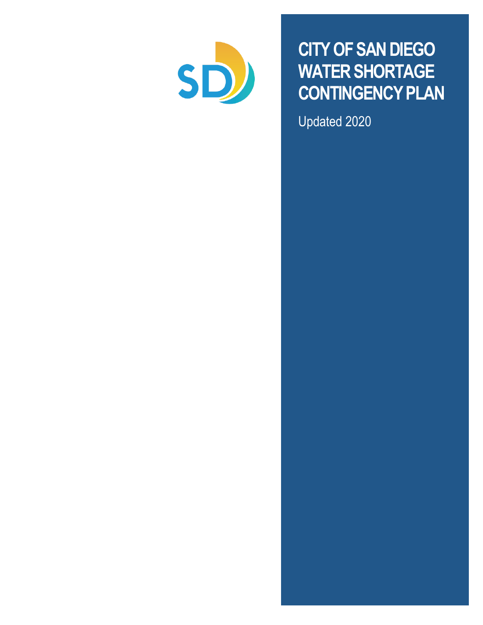

# **CITY OF SAN DIEGO WATER SHORTAGE CONTINGENCY PLAN**

Updated 2020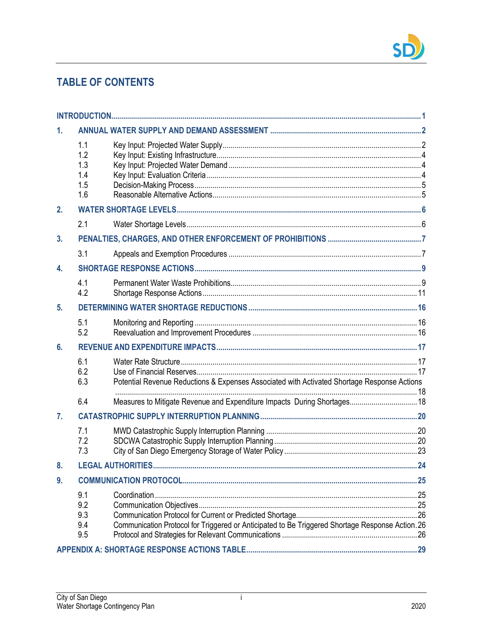

# **TABLE OF CONTENTS**

| 1.               |                                        |                                                                                                 |  |
|------------------|----------------------------------------|-------------------------------------------------------------------------------------------------|--|
|                  | 1.1<br>1.2<br>1.3<br>1.4<br>1.5<br>1.6 |                                                                                                 |  |
| 2.               |                                        |                                                                                                 |  |
|                  | 2.1                                    |                                                                                                 |  |
| 3.               |                                        |                                                                                                 |  |
|                  | 3.1                                    |                                                                                                 |  |
| $\overline{4}$ . |                                        |                                                                                                 |  |
|                  | 4.1<br>4.2                             |                                                                                                 |  |
| 5 <sub>1</sub>   |                                        |                                                                                                 |  |
|                  | 5.1<br>5.2                             |                                                                                                 |  |
| 6.               |                                        |                                                                                                 |  |
|                  | 6.1<br>6.2<br>6.3                      | Potential Revenue Reductions & Expenses Associated with Activated Shortage Response Actions     |  |
|                  | 6.4                                    | Measures to Mitigate Revenue and Expenditure Impacts During Shortages 18                        |  |
| 7.               |                                        |                                                                                                 |  |
|                  | 7.1<br>7.2<br>7.3                      |                                                                                                 |  |
| 8.               |                                        |                                                                                                 |  |
| 9.               |                                        |                                                                                                 |  |
|                  | 9.1<br>9.2<br>9.3<br>9.4<br>9.5        | Communication Protocol for Triggered or Anticipated to Be Triggered Shortage Response Action.26 |  |
|                  |                                        |                                                                                                 |  |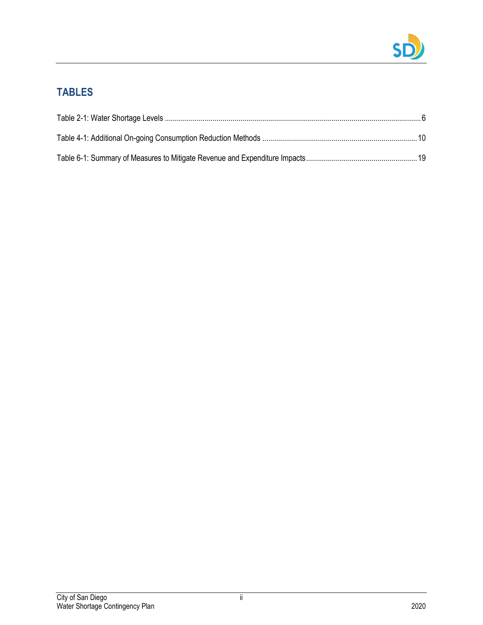

# **TABLES**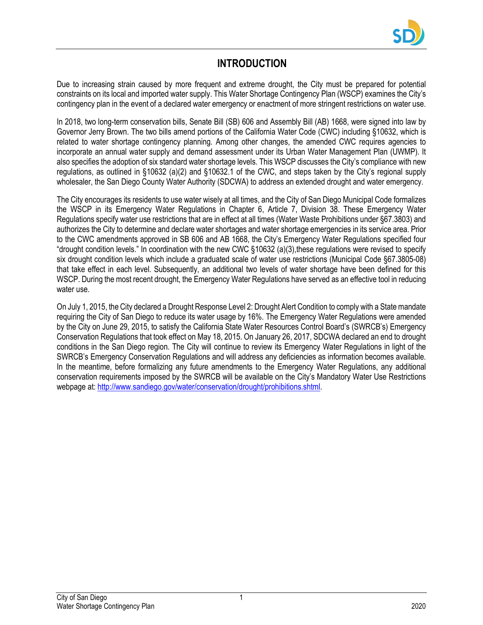

# **INTRODUCTION**

Due to increasing strain caused by more frequent and extreme drought, the City must be prepared for potential constraints on its local and imported water supply. This Water Shortage Contingency Plan (WSCP) examines the City's contingency plan in the event of a declared water emergency or enactment of more stringent restrictions on water use.

In 2018, two long-term conservation bills, Senate Bill (SB) 606 and Assembly Bill (AB) 1668, were signed into law by Governor Jerry Brown. The two bills amend portions of the California Water Code (CWC) including §10632, which is related to water shortage contingency planning. Among other changes, the amended CWC requires agencies to incorporate an annual water supply and demand assessment under its Urban Water Management Plan (UWMP). It also specifies the adoption of six standard water shortage levels. This WSCP discusses the City's compliance with new regulations, as outlined in §10632 (a)(2) and §10632.1 of the CWC, and steps taken by the City's regional supply wholesaler, the San Diego County Water Authority (SDCWA) to address an extended drought and water emergency.

The City encourages its residents to use water wisely at all times, and the City of San Diego Municipal Code formalizes the WSCP in its Emergency Water Regulations in Chapter 6, Article 7, Division 38. These Emergency Water Regulations specify water use restrictions that are in effect at all times (Water Waste Prohibitions under §67.3803) and authorizes the City to determine and declare water shortages and water shortage emergencies in its service area. Prior to the CWC amendments approved in SB 606 and AB 1668, the City's Emergency Water Regulations specified four "drought condition levels." In coordination with the new CWC §10632 (a)(3),these regulations were revised to specify six drought condition levels which include a graduated scale of water use restrictions (Municipal Code §67.3805-08) that take effect in each level. Subsequently, an additional two levels of water shortage have been defined for this WSCP. During the most recent drought, the Emergency Water Regulations have served as an effective tool in reducing water use.

On July 1, 2015, the City declared a Drought Response Level 2: Drought Alert Condition to comply with a State mandate requiring the City of San Diego to reduce its water usage by 16%. The Emergency Water Regulations were amended by the City on June 29, 2015, to satisfy the California State Water Resources Control Board's (SWRCB's) Emergency Conservation Regulations that took effect on May 18, 2015. On January 26, 2017, SDCWA declared an end to drought conditions in the San Diego region. The City will continue to review its Emergency Water Regulations in light of the SWRCB's Emergency Conservation Regulations and will address any deficiencies as information becomes available. In the meantime, before formalizing any future amendments to the Emergency Water Regulations, any additional conservation requirements imposed by the SWRCB will be available on the City's Mandatory Water Use Restrictions webpage at[: http://www.sandiego.gov/water/conservation/drought/prohibitions.shtml.](about:blank)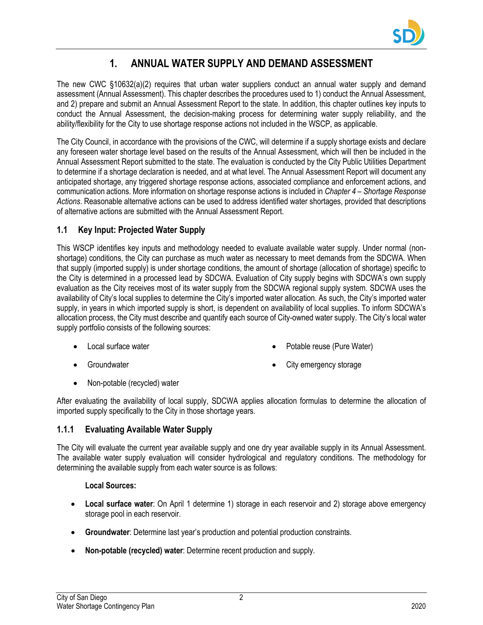

# **1. ANNUAL WATER SUPPLY AND DEMAND ASSESSMENT**

The new CWC §10632(a)(2) requires that urban water suppliers conduct an annual water supply and demand assessment (Annual Assessment). This chapter describes the procedures used to 1) conduct the Annual Assessment, and 2) prepare and submit an Annual Assessment Report to the state. In addition, this chapter outlines key inputs to conduct the Annual Assessment, the decision-making process for determining water supply reliability, and the ability/flexibility for the City to use shortage response actions not included in the WSCP, as applicable.

The City Council, in accordance with the provisions of the CWC, will determine if a supply shortage exists and declare any foreseen water shortage level based on the results of the Annual Assessment, which will then be included in the Annual Assessment Report submitted to the state. The evaluation is conducted by the City Public Utilities Department to determine if a shortage declaration is needed, and at what level. The Annual Assessment Report will document any anticipated shortage, any triggered shortage response actions, associated compliance and enforcement actions, and communication actions. More information on shortage response actions is included in *Chapter 4 – Shortage Response Actions*. Reasonable alternative actions can be used to address identified water shortages, provided that descriptions of alternative actions are submitted with the Annual Assessment Report.

# **1.1 Key Input: Projected Water Supply**

This WSCP identifies key inputs and methodology needed to evaluate available water supply. Under normal (nonshortage) conditions, the City can purchase as much water as necessary to meet demands from the SDCWA. When that supply (imported supply) is under shortage conditions, the amount of shortage (allocation of shortage) specific to the City is determined in a processed lead by SDCWA. Evaluation of City supply begins with SDCWA's own supply evaluation as the City receives most of its water supply from the SDCWA regional supply system. SDCWA uses the availability of City's local supplies to determine the City's imported water allocation. As such, the City's imported water supply, in years in which imported supply is short, is dependent on availability of local supplies. To inform SDCWA's allocation process, the City must describe and quantify each source of City-owned water supply. The City's local water supply portfolio consists of the following sources:

• Local surface water

• Potable reuse (Pure Water)

**Groundwater** 

City emergency storage

• Non-potable (recycled) water

After evaluating the availability of local supply, SDCWA applies allocation formulas to determine the allocation of imported supply specifically to the City in those shortage years.

### **1.1.1 Evaluating Available Water Supply**

The City will evaluate the current year available supply and one dry year available supply in its Annual Assessment. The available water supply evaluation will consider hydrological and regulatory conditions. The methodology for determining the available supply from each water source is as follows:

#### **Local Sources:**

- **Local surface water**: On April 1 determine 1) storage in each reservoir and 2) storage above emergency storage pool in each reservoir.
- **Groundwater**: Determine last year's production and potential production constraints.
- **Non-potable (recycled) water**: Determine recent production and supply.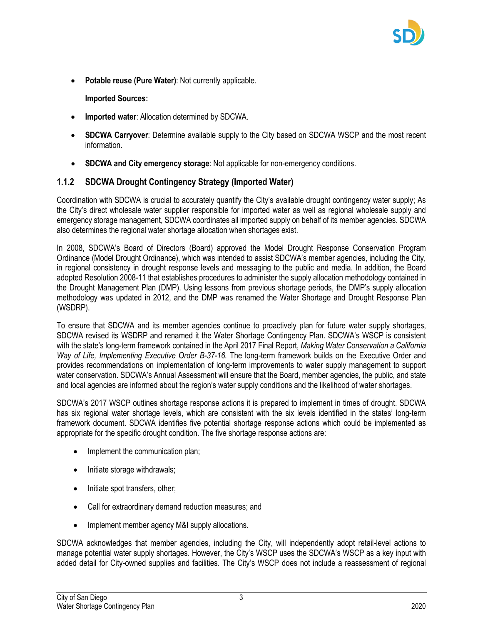

• **Potable reuse (Pure Water)**: Not currently applicable.

**Imported Sources:**

- **Imported water:** Allocation determined by SDCWA.
- **SDCWA Carryover**: Determine available supply to the City based on SDCWA WSCP and the most recent information.
- **SDCWA and City emergency storage**: Not applicable for non-emergency conditions.

### **1.1.2 SDCWA Drought Contingency Strategy (Imported Water)**

Coordination with SDCWA is crucial to accurately quantify the City's available drought contingency water supply; As the City's direct wholesale water supplier responsible for imported water as well as regional wholesale supply and emergency storage management, SDCWA coordinates all imported supply on behalf of its member agencies. SDCWA also determines the regional water shortage allocation when shortages exist.

In 2008, SDCWA's Board of Directors (Board) approved the Model Drought Response Conservation Program Ordinance (Model Drought Ordinance), which was intended to assist SDCWA's member agencies, including the City, in regional consistency in drought response levels and messaging to the public and media. In addition, the Board adopted Resolution 2008-11 that establishes procedures to administer the supply allocation methodology contained in the Drought Management Plan (DMP). Using lessons from previous shortage periods, the DMP's supply allocation methodology was updated in 2012, and the DMP was renamed the Water Shortage and Drought Response Plan (WSDRP).

To ensure that SDCWA and its member agencies continue to proactively plan for future water supply shortages, SDCWA revised its WSDRP and renamed it the Water Shortage Contingency Plan. SDCWA's WSCP is consistent with the state's long-term framework contained in the April 2017 Final Report, *Making Water Conservation a California Way of Life, Implementing Executive Order B-37-16.* The long-term framework builds on the Executive Order and provides recommendations on implementation of long-term improvements to water supply management to support water conservation. SDCWA's Annual Assessment will ensure that the Board, member agencies, the public, and state and local agencies are informed about the region's water supply conditions and the likelihood of water shortages.

SDCWA's 2017 WSCP outlines shortage response actions it is prepared to implement in times of drought. SDCWA has six regional water shortage levels, which are consistent with the six levels identified in the states' long-term framework document. SDCWA identifies five potential shortage response actions which could be implemented as appropriate for the specific drought condition. The five shortage response actions are:

- Implement the communication plan;
- Initiate storage withdrawals;
- Initiate spot transfers, other;
- Call for extraordinary demand reduction measures; and
- Implement member agency M&I supply allocations.

SDCWA acknowledges that member agencies, including the City, will independently adopt retail-level actions to manage potential water supply shortages. However, the City's WSCP uses the SDCWA's WSCP as a key input with added detail for City-owned supplies and facilities. The City's WSCP does not include a reassessment of regional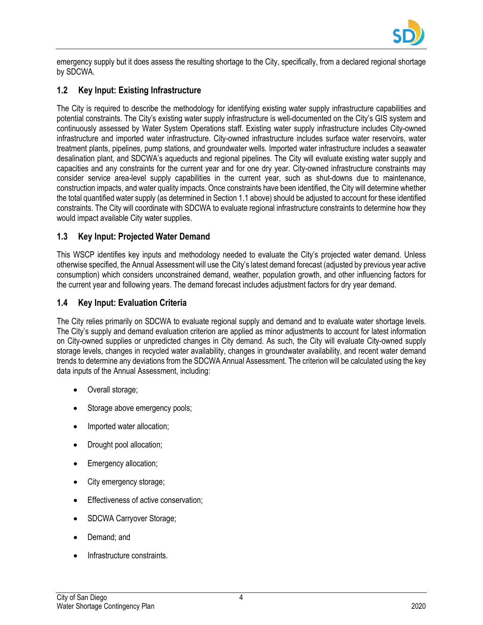

emergency supply but it does assess the resulting shortage to the City, specifically, from a declared regional shortage by SDCWA.

# **1.2 Key Input: Existing Infrastructure**

The City is required to describe the methodology for identifying existing water supply infrastructure capabilities and potential constraints. The City's existing water supply infrastructure is well-documented on the City's GIS system and continuously assessed by Water System Operations staff. Existing water supply infrastructure includes City-owned infrastructure and imported water infrastructure. City-owned infrastructure includes surface water reservoirs, water treatment plants, pipelines, pump stations, and groundwater wells. Imported water infrastructure includes a seawater desalination plant, and SDCWA's aqueducts and regional pipelines. The City will evaluate existing water supply and capacities and any constraints for the current year and for one dry year. City-owned infrastructure constraints may consider service area-level supply capabilities in the current year, such as shut-downs due to maintenance, construction impacts, and water quality impacts. Once constraints have been identified, the City will determine whether the total quantified water supply (as determined in Section 1.1 above) should be adjusted to account for these identified constraints. The City will coordinate with SDCWA to evaluate regional infrastructure constraints to determine how they would impact available City water supplies.

### **1.3 Key Input: Projected Water Demand**

This WSCP identifies key inputs and methodology needed to evaluate the City's projected water demand. Unless otherwise specified, the Annual Assessment will use the City's latest demand forecast (adjusted by previous year active consumption) which considers unconstrained demand, weather, population growth, and other influencing factors for the current year and following years. The demand forecast includes adjustment factors for dry year demand.

### **1.4 Key Input: Evaluation Criteria**

The City relies primarily on SDCWA to evaluate regional supply and demand and to evaluate water shortage levels. The City's supply and demand evaluation criterion are applied as minor adjustments to account for latest information on City-owned supplies or unpredicted changes in City demand. As such, the City will evaluate City-owned supply storage levels, changes in recycled water availability, changes in groundwater availability, and recent water demand trends to determine any deviations from the SDCWA Annual Assessment. The criterion will be calculated using the key data inputs of the Annual Assessment, including:

- Overall storage;
- Storage above emergency pools;
- Imported water allocation;
- Drought pool allocation;
- Emergency allocation;
- City emergency storage;
- Effectiveness of active conservation;
- SDCWA Carryover Storage;
- Demand; and
- Infrastructure constraints.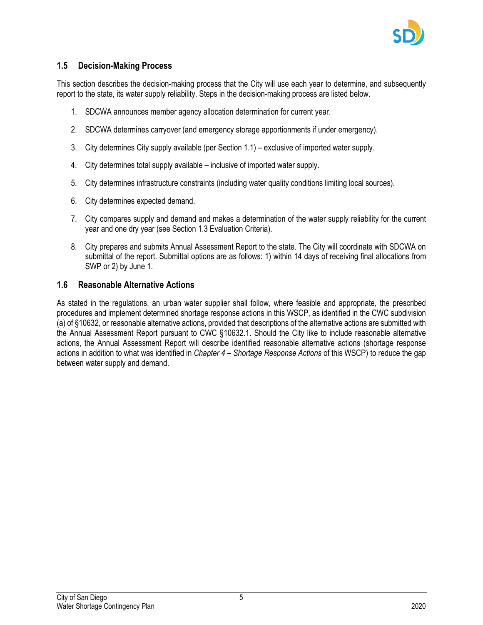

### **1.5 Decision-Making Process**

This section describes the decision-making process that the City will use each year to determine, and subsequently report to the state, its water supply reliability. Steps in the decision-making process are listed below.

- 1. SDCWA announces member agency allocation determination for current year.
- 2. SDCWA determines carryover (and emergency storage apportionments if under emergency).
- 3. City determines City supply available (per Section 1.1) exclusive of imported water supply.
- 4. City determines total supply available inclusive of imported water supply.
- 5. City determines infrastructure constraints (including water quality conditions limiting local sources).
- 6. City determines expected demand.
- 7. City compares supply and demand and makes a determination of the water supply reliability for the current year and one dry year (see Section 1.3 Evaluation Criteria).
- 8. City prepares and submits Annual Assessment Report to the state. The City will coordinate with SDCWA on submittal of the report. Submittal options are as follows: 1) within 14 days of receiving final allocations from SWP or 2) by June 1.

#### **1.6 Reasonable Alternative Actions**

As stated in the regulations, an urban water supplier shall follow, where feasible and appropriate, the prescribed procedures and implement determined shortage response actions in this WSCP, as identified in the CWC subdivision (a) of §10632, or reasonable alternative actions, provided that descriptions of the alternative actions are submitted with the Annual Assessment Report pursuant to CWC §10632.1. Should the City like to include reasonable alternative actions, the Annual Assessment Report will describe identified reasonable alternative actions (shortage response actions in addition to what was identified in *Chapter 4 – Shortage Response Actions* of this WSCP) to reduce the gap between water supply and demand.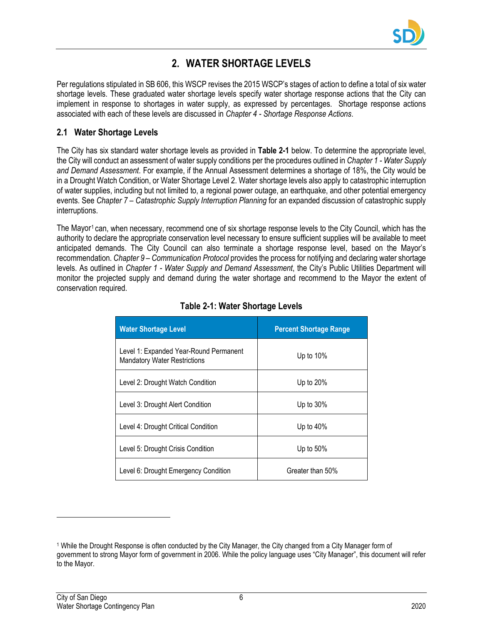

# **2. WATER SHORTAGE LEVELS**

Per regulations stipulated in SB 606, this WSCP revises the 2015 WSCP's stages of action to define a total of six water shortage levels. These graduated water shortage levels specify water shortage response actions that the City can implement in response to shortages in water supply, as expressed by percentages. Shortage response actions associated with each of these levels are discussed in *Chapter 4 - Shortage Response Actions*.

### **2.1 Water Shortage Levels**

The City has six standard water shortage levels as provided in **Table 2-1** below. To determine the appropriate level, the City will conduct an assessment of water supply conditions per the procedures outlined in *Chapter 1 - Water Supply and Demand Assessment*. For example, if the Annual Assessment determines a shortage of 18%, the City would be in a Drought Watch Condition, or Water Shortage Level 2. Water shortage levels also apply to catastrophic interruption of water supplies, including but not limited to, a regional power outage, an earthquake, and other potential emergency events. See *Chapter 7 – Catastrophic Supply Interruption Planning* for an expanded discussion of catastrophic supply interruptions.

The Mayor<sup>[1](#page-8-1)</sup> can, when necessary, recommend one of six shortage response levels to the City Council, which has the authority to declare the appropriate conservation level necessary to ensure sufficient supplies will be available to meet anticipated demands. The City Council can also terminate a shortage response level, based on the Mayor's recommendation. *Chapter 9 – Communication Protocol* provides the process for notifying and declaring water shortage levels. As outlined in *Chapter 1 - Water Supply and Demand Assessment*, the City's Public Utilities Department will monitor the projected supply and demand during the water shortage and recommend to the Mayor the extent of conservation required.

<span id="page-8-0"></span>

| <b>Water Shortage Level</b>                                                   | <b>Percent Shortage Range</b> |
|-------------------------------------------------------------------------------|-------------------------------|
| Level 1: Expanded Year-Round Permanent<br><b>Mandatory Water Restrictions</b> | Up to $10\%$                  |
| Level 2: Drought Watch Condition                                              | Up to $20\%$                  |
| Level 3: Drought Alert Condition                                              | Up to $30\%$                  |
| Level 4: Drought Critical Condition                                           | Up to $40\%$                  |
| Level 5: Drought Crisis Condition                                             | Up to $50\%$                  |
| Level 6: Drought Emergency Condition                                          | Greater than 50%              |

# **Table 2-1: Water Shortage Levels**

<span id="page-8-1"></span><sup>1</sup> While the Drought Response is often conducted by the City Manager, the City changed from a City Manager form of government to strong Mayor form of government in 2006. While the policy language uses "City Manager", this document will refer to the Mayor.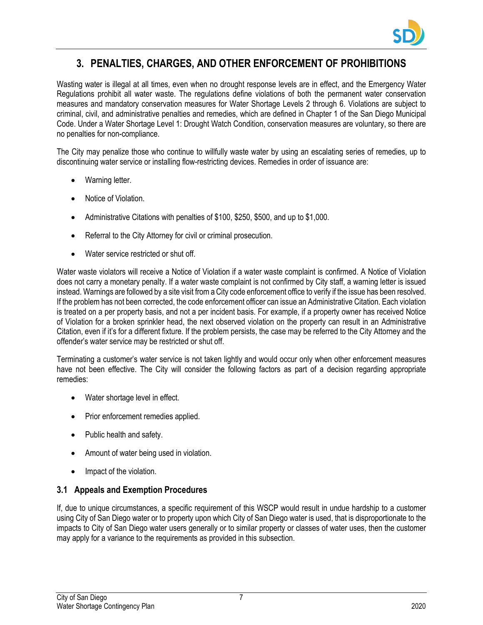

# **3. PENALTIES, CHARGES, AND OTHER ENFORCEMENT OF PROHIBITIONS**

Wasting water is illegal at all times, even when no drought response levels are in effect, and the Emergency Water Regulations prohibit all water waste. The regulations define violations of both the permanent water conservation measures and mandatory conservation measures for Water Shortage Levels 2 through 6. Violations are subject to criminal, civil, and administrative penalties and remedies, which are defined in Chapter 1 of the San Diego Municipal Code. Under a Water Shortage Level 1: Drought Watch Condition, conservation measures are voluntary, so there are no penalties for non-compliance.

The City may penalize those who continue to willfully waste water by using an escalating series of remedies, up to discontinuing water service or installing flow-restricting devices. Remedies in order of issuance are:

- Warning letter.
- Notice of Violation.
- Administrative Citations with penalties of \$100, \$250, \$500, and up to \$1,000.
- Referral to the City Attorney for civil or criminal prosecution.
- Water service restricted or shut off.

Water waste violators will receive a Notice of Violation if a water waste complaint is confirmed. A Notice of Violation does not carry a monetary penalty. If a water waste complaint is not confirmed by City staff, a warning letter is issued instead. Warnings are followed by a site visit from a City code enforcement office to verify if the issue has been resolved. If the problem has not been corrected, the code enforcement officer can issue an Administrative Citation. Each violation is treated on a per property basis, and not a per incident basis. For example, if a property owner has received Notice of Violation for a broken sprinkler head, the next observed violation on the property can result in an Administrative Citation, even if it's for a different fixture. If the problem persists, the case may be referred to the City Attorney and the offender's water service may be restricted or shut off.

Terminating a customer's water service is not taken lightly and would occur only when other enforcement measures have not been effective. The City will consider the following factors as part of a decision regarding appropriate remedies:

- Water shortage level in effect.
- Prior enforcement remedies applied.
- Public health and safety.
- Amount of water being used in violation.
- Impact of the violation.

### **3.1 Appeals and Exemption Procedures**

If, due to unique circumstances, a specific requirement of this WSCP would result in undue hardship to a customer using City of San Diego water or to property upon which City of San Diego water is used, that is disproportionate to the impacts to City of San Diego water users generally or to similar property or classes of water uses, then the customer may apply for a variance to the requirements as provided in this subsection.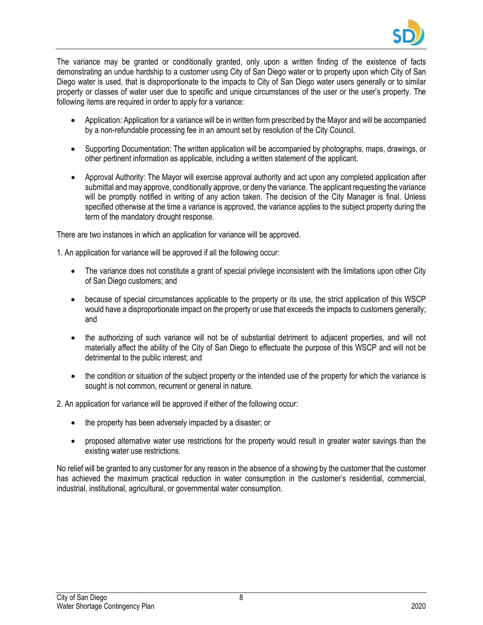

The variance may be granted or conditionally granted, only upon a written finding of the existence of facts demonstrating an undue hardship to a customer using City of San Diego water or to property upon which City of San Diego water is used, that is disproportionate to the impacts to City of San Diego water users generally or to similar property or classes of water user due to specific and unique circumstances of the user or the user's property. The following items are required in order to apply for a variance:

- Application: Application for a variance will be in written form prescribed by the Mayor and will be accompanied by a non-refundable processing fee in an amount set by resolution of the City Council.
- Supporting Documentation: The written application will be accompanied by photographs, maps, drawings, or other pertinent information as applicable, including a written statement of the applicant.
- Approval Authority: The Mayor will exercise approval authority and act upon any completed application after submittal and may approve, conditionally approve, or deny the variance. The applicant requesting the variance will be promptly notified in writing of any action taken. The decision of the City Manager is final. Unless specified otherwise at the time a variance is approved, the variance applies to the subject property during the term of the mandatory drought response.

There are two instances in which an application for variance will be approved.

1. An application for variance will be approved if all the following occur:

- The variance does not constitute a grant of special privilege inconsistent with the limitations upon other City of San Diego customers; and
- because of special circumstances applicable to the property or its use, the strict application of this WSCP would have a disproportionate impact on the property or use that exceeds the impacts to customers generally; and
- the authorizing of such variance will not be of substantial detriment to adjacent properties, and will not materially affect the ability of the City of San Diego to effectuate the purpose of this WSCP and will not be detrimental to the public interest; and
- the condition or situation of the subject property or the intended use of the property for which the variance is sought is not common, recurrent or general in nature.

2. An application for variance will be approved if either of the following occur:

- the property has been adversely impacted by a disaster; or
- proposed alternative water use restrictions for the property would result in greater water savings than the existing water use restrictions.

No relief will be granted to any customer for any reason in the absence of a showing by the customer that the customer has achieved the maximum practical reduction in water consumption in the customer's residential, commercial, industrial, institutional, agricultural, or governmental water consumption.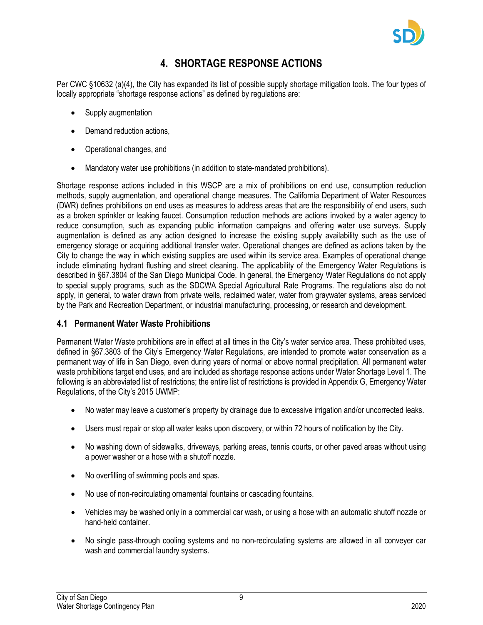

# **4. SHORTAGE RESPONSE ACTIONS**

Per CWC §10632 (a)(4), the City has expanded its list of possible supply shortage mitigation tools. The four types of locally appropriate "shortage response actions" as defined by regulations are:

- Supply augmentation
- Demand reduction actions,
- Operational changes, and
- Mandatory water use prohibitions (in addition to state-mandated prohibitions).

Shortage response actions included in this WSCP are a mix of prohibitions on end use, consumption reduction methods, supply augmentation, and operational change measures. The California Department of Water Resources (DWR) defines prohibitions on end uses as measures to address areas that are the responsibility of end users, such as a broken sprinkler or leaking faucet. Consumption reduction methods are actions invoked by a water agency to reduce consumption, such as expanding public information campaigns and offering water use surveys. Supply augmentation is defined as any action designed to increase the existing supply availability such as the use of emergency storage or acquiring additional transfer water. Operational changes are defined as actions taken by the City to change the way in which existing supplies are used within its service area. Examples of operational change include eliminating hydrant flushing and street cleaning. The applicability of the Emergency Water Regulations is described in §67.3804 of the San Diego Municipal Code. In general, the Emergency Water Regulations do not apply to special supply programs, such as the SDCWA Special Agricultural Rate Programs. The regulations also do not apply, in general, to water drawn from private wells, reclaimed water, water from graywater systems, areas serviced by the Park and Recreation Department, or industrial manufacturing, processing, or research and development.

### **4.1 Permanent Water Waste Prohibitions**

Permanent Water Waste prohibitions are in effect at all times in the City's water service area. These prohibited uses, defined in §67.3803 of the City's Emergency Water Regulations, are intended to promote water conservation as a permanent way of life in San Diego, even during years of normal or above normal precipitation. All permanent water waste prohibitions target end uses, and are included as shortage response actions under Water Shortage Level 1. The following is an abbreviated list of restrictions; the entire list of restrictions is provided in Appendix G, Emergency Water Regulations, of the City's 2015 UWMP:

- No water may leave a customer's property by drainage due to excessive irrigation and/or uncorrected leaks.
- Users must repair or stop all water leaks upon discovery, or within 72 hours of notification by the City.
- No washing down of sidewalks, driveways, parking areas, tennis courts, or other paved areas without using a power washer or a hose with a shutoff nozzle.
- No overfilling of swimming pools and spas.
- No use of non-recirculating ornamental fountains or cascading fountains.
- Vehicles may be washed only in a commercial car wash, or using a hose with an automatic shutoff nozzle or hand-held container.
- No single pass-through cooling systems and no non-recirculating systems are allowed in all conveyer car wash and commercial laundry systems.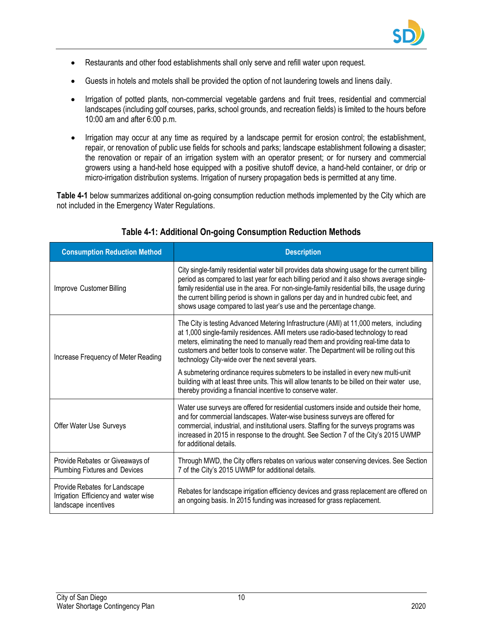

- Restaurants and other food establishments shall only serve and refill water upon request.
- Guests in hotels and motels shall be provided the option of not laundering towels and linens daily.
- Irrigation of potted plants, non-commercial vegetable gardens and fruit trees, residential and commercial landscapes (including golf courses, parks, school grounds, and recreation fields) is limited to the hours before 10:00 am and after 6:00 p.m.
- Irrigation may occur at any time as required by a landscape permit for erosion control; the establishment, repair, or renovation of public use fields for schools and parks; landscape establishment following a disaster; the renovation or repair of an irrigation system with an operator present; or for nursery and commercial growers using a hand-held hose equipped with a positive shutoff device, a hand-held container, or drip or micro-irrigation distribution systems. Irrigation of nursery propagation beds is permitted at any time.

**Table 4-1** below summarizes additional on-going consumption reduction methods implemented by the City which are not included in the Emergency Water Regulations.

<span id="page-12-0"></span>

| <b>Consumption Reduction Method</b>                                                           | <b>Description</b>                                                                                                                                                                                                                                                                                                                                                                                                                                         |
|-----------------------------------------------------------------------------------------------|------------------------------------------------------------------------------------------------------------------------------------------------------------------------------------------------------------------------------------------------------------------------------------------------------------------------------------------------------------------------------------------------------------------------------------------------------------|
| Improve Customer Billing                                                                      | City single-family residential water bill provides data showing usage for the current billing<br>period as compared to last year for each billing period and it also shows average single-<br>family residential use in the area. For non-single-family residential bills, the usage during<br>the current billing period is shown in gallons per day and in hundred cubic feet, and<br>shows usage compared to last year's use and the percentage change. |
| Increase Frequency of Meter Reading                                                           | The City is testing Advanced Metering Infrastructure (AMI) at 11,000 meters, including<br>at 1,000 single-family residences. AMI meters use radio-based technology to read<br>meters, eliminating the need to manually read them and providing real-time data to<br>customers and better tools to conserve water. The Department will be rolling out this<br>technology City-wide over the next several years.                                             |
|                                                                                               | A submetering ordinance requires submeters to be installed in every new multi-unit<br>building with at least three units. This will allow tenants to be billed on their water use,<br>thereby providing a financial incentive to conserve water.                                                                                                                                                                                                           |
| Offer Water Use Surveys                                                                       | Water use surveys are offered for residential customers inside and outside their home,<br>and for commercial landscapes. Water-wise business surveys are offered for<br>commercial, industrial, and institutional users. Staffing for the surveys programs was<br>increased in 2015 in response to the drought. See Section 7 of the City's 2015 UWMP<br>for additional details.                                                                           |
| Provide Rebates or Giveaways of<br>Plumbing Fixtures and Devices                              | Through MWD, the City offers rebates on various water conserving devices. See Section<br>7 of the City's 2015 UWMP for additional details.                                                                                                                                                                                                                                                                                                                 |
| Provide Rebates for Landscape<br>Irrigation Efficiency and water wise<br>landscape incentives | Rebates for landscape irrigation efficiency devices and grass replacement are offered on<br>an ongoing basis. In 2015 funding was increased for grass replacement.                                                                                                                                                                                                                                                                                         |

# **Table 4-1: Additional On-going Consumption Reduction Methods**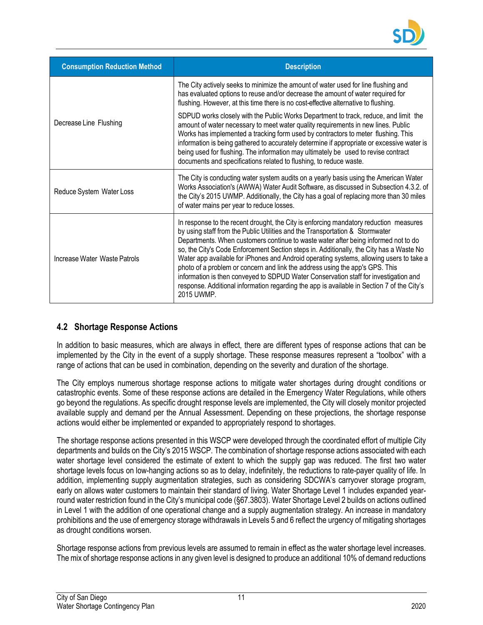

| <b>Consumption Reduction Method</b> | <b>Description</b>                                                                                                                                                                                                                                                                                                                                                                                                                                                                                                                                                                                                                                                                                                                    |
|-------------------------------------|---------------------------------------------------------------------------------------------------------------------------------------------------------------------------------------------------------------------------------------------------------------------------------------------------------------------------------------------------------------------------------------------------------------------------------------------------------------------------------------------------------------------------------------------------------------------------------------------------------------------------------------------------------------------------------------------------------------------------------------|
|                                     | The City actively seeks to minimize the amount of water used for line flushing and<br>has evaluated options to reuse and/or decrease the amount of water required for<br>flushing. However, at this time there is no cost-effective alternative to flushing.                                                                                                                                                                                                                                                                                                                                                                                                                                                                          |
| Decrease Line Flushing              | SDPUD works closely with the Public Works Department to track, reduce, and limit the<br>amount of water necessary to meet water quality requirements in new lines. Public<br>Works has implemented a tracking form used by contractors to meter flushing. This<br>information is being gathered to accurately determine if appropriate or excessive water is<br>being used for flushing. The information may ultimately be used to revise contract<br>documents and specifications related to flushing, to reduce waste.                                                                                                                                                                                                              |
| Reduce System Water Loss            | The City is conducting water system audits on a yearly basis using the American Water<br>Works Association's (AWWA) Water Audit Software, as discussed in Subsection 4.3.2. of<br>the City's 2015 UWMP. Additionally, the City has a goal of replacing more than 30 miles<br>of water mains per year to reduce losses.                                                                                                                                                                                                                                                                                                                                                                                                                |
| Increase Water Waste Patrols        | In response to the recent drought, the City is enforcing mandatory reduction measures<br>by using staff from the Public Utilities and the Transportation & Stormwater<br>Departments. When customers continue to waste water after being informed not to do<br>so, the City's Code Enforcement Section steps in. Additionally, the City has a Waste No<br>Water app available for iPhones and Android operating systems, allowing users to take a<br>photo of a problem or concern and link the address using the app's GPS. This<br>information is then conveyed to SDPUD Water Conservation staff for investigation and<br>response. Additional information regarding the app is available in Section 7 of the City's<br>2015 UWMP. |

### **4.2 Shortage Response Actions**

In addition to basic measures, which are always in effect, there are different types of response actions that can be implemented by the City in the event of a supply shortage. These response measures represent a "toolbox" with a range of actions that can be used in combination, depending on the severity and duration of the shortage.

The City employs numerous shortage response actions to mitigate water shortages during drought conditions or catastrophic events. Some of these response actions are detailed in the Emergency Water Regulations, while others go beyond the regulations. As specific drought response levels are implemented, the City will closely monitor projected available supply and demand per the Annual Assessment. Depending on these projections, the shortage response actions would either be implemented or expanded to appropriately respond to shortages.

The shortage response actions presented in this WSCP were developed through the coordinated effort of multiple City departments and builds on the City's 2015 WSCP. The combination of shortage response actions associated with each water shortage level considered the estimate of extent to which the supply gap was reduced. The first two water shortage levels focus on low-hanging actions so as to delay, indefinitely, the reductions to rate-payer quality of life. In addition, implementing supply augmentation strategies, such as considering SDCWA's carryover storage program, early on allows water customers to maintain their standard of living. Water Shortage Level 1 includes expanded yearround water restriction found in the City's municipal code (§67.3803). Water Shortage Level 2 builds on actions outlined in Level 1 with the addition of one operational change and a supply augmentation strategy. An increase in mandatory prohibitions and the use of emergency storage withdrawals in Levels 5 and 6 reflect the urgency of mitigating shortages as drought conditions worsen.

Shortage response actions from previous levels are assumed to remain in effect as the water shortage level increases. The mix of shortage response actions in any given level is designed to produce an additional 10% of demand reductions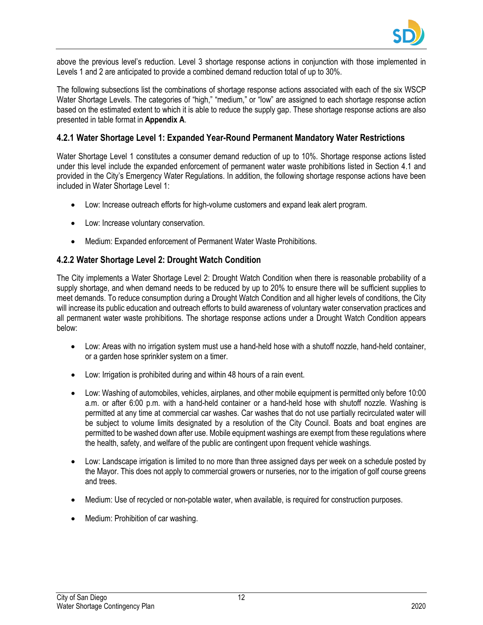

above the previous level's reduction. Level 3 shortage response actions in conjunction with those implemented in Levels 1 and 2 are anticipated to provide a combined demand reduction total of up to 30%.

The following subsections list the combinations of shortage response actions associated with each of the six WSCP Water Shortage Levels. The categories of "high," "medium," or "low" are assigned to each shortage response action based on the estimated extent to which it is able to reduce the supply gap. These shortage response actions are also presented in table format in **Appendix A**.

#### **4.2.1 Water Shortage Level 1: Expanded Year-Round Permanent Mandatory Water Restrictions**

Water Shortage Level 1 constitutes a consumer demand reduction of up to 10%. Shortage response actions listed under this level include the expanded enforcement of permanent water waste prohibitions listed in Section 4.1 and provided in the City's Emergency Water Regulations. In addition, the following shortage response actions have been included in Water Shortage Level 1:

- Low: Increase outreach efforts for high-volume customers and expand leak alert program.
- Low: Increase voluntary conservation.
- Medium: Expanded enforcement of Permanent Water Waste Prohibitions.

#### **4.2.2 Water Shortage Level 2: Drought Watch Condition**

The City implements a Water Shortage Level 2: Drought Watch Condition when there is reasonable probability of a supply shortage, and when demand needs to be reduced by up to 20% to ensure there will be sufficient supplies to meet demands. To reduce consumption during a Drought Watch Condition and all higher levels of conditions, the City will increase its public education and outreach efforts to build awareness of voluntary water conservation practices and all permanent water waste prohibitions. The shortage response actions under a Drought Watch Condition appears below:

- Low: Areas with no irrigation system must use a hand-held hose with a shutoff nozzle, hand-held container, or a garden hose sprinkler system on a timer.
- Low: Irrigation is prohibited during and within 48 hours of a rain event.
- Low: Washing of automobiles, vehicles, airplanes, and other mobile equipment is permitted only before 10:00 a.m. or after 6:00 p.m. with a hand-held container or a hand-held hose with shutoff nozzle. Washing is permitted at any time at commercial car washes. Car washes that do not use partially recirculated water will be subject to volume limits designated by a resolution of the City Council. Boats and boat engines are permitted to be washed down after use. Mobile equipment washings are exempt from these regulations where the health, safety, and welfare of the public are contingent upon frequent vehicle washings.
- Low: Landscape irrigation is limited to no more than three assigned days per week on a schedule posted by the Mayor. This does not apply to commercial growers or nurseries, nor to the irrigation of golf course greens and trees.
- Medium: Use of recycled or non-potable water, when available, is required for construction purposes.
- Medium: Prohibition of car washing.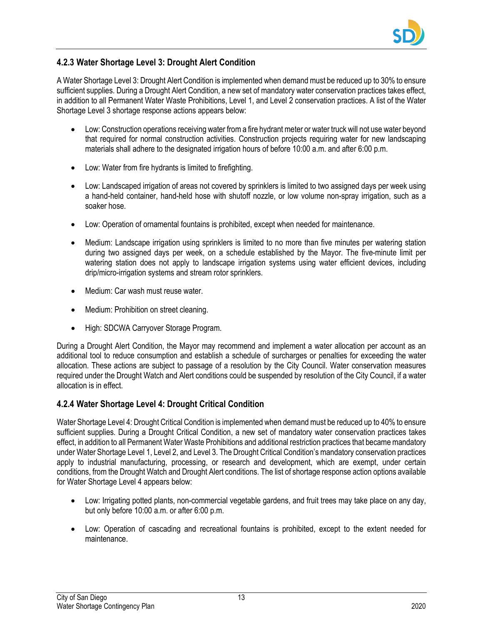

# **4.2.3 Water Shortage Level 3: Drought Alert Condition**

A Water Shortage Level 3: Drought Alert Condition is implemented when demand must be reduced up to 30% to ensure sufficient supplies. During a Drought Alert Condition, a new set of mandatory water conservation practices takes effect, in addition to all Permanent Water Waste Prohibitions, Level 1, and Level 2 conservation practices. A list of the Water Shortage Level 3 shortage response actions appears below:

- Low: Construction operations receiving water from a fire hydrant meter or water truck will not use water beyond that required for normal construction activities. Construction projects requiring water for new landscaping materials shall adhere to the designated irrigation hours of before 10:00 a.m. and after 6:00 p.m.
- Low: Water from fire hydrants is limited to firefighting.
- Low: Landscaped irrigation of areas not covered by sprinklers is limited to two assigned days per week using a hand-held container, hand-held hose with shutoff nozzle, or low volume non-spray irrigation, such as a soaker hose.
- Low: Operation of ornamental fountains is prohibited, except when needed for maintenance.
- Medium: Landscape irrigation using sprinklers is limited to no more than five minutes per watering station during two assigned days per week, on a schedule established by the Mayor. The five-minute limit per watering station does not apply to landscape irrigation systems using water efficient devices, including drip/micro-irrigation systems and stream rotor sprinklers.
- Medium: Car wash must reuse water.
- Medium: Prohibition on street cleaning.
- High: SDCWA Carryover Storage Program.

During a Drought Alert Condition, the Mayor may recommend and implement a water allocation per account as an additional tool to reduce consumption and establish a schedule of surcharges or penalties for exceeding the water allocation. These actions are subject to passage of a resolution by the City Council. Water conservation measures required under the Drought Watch and Alert conditions could be suspended by resolution of the City Council, if a water allocation is in effect.

### **4.2.4 Water Shortage Level 4: Drought Critical Condition**

Water Shortage Level 4: Drought Critical Condition is implemented when demand must be reduced up to 40% to ensure sufficient supplies. During a Drought Critical Condition, a new set of mandatory water conservation practices takes effect, in addition to all Permanent Water Waste Prohibitions and additional restriction practices that became mandatory under Water Shortage Level 1, Level 2, and Level 3. The Drought Critical Condition's mandatory conservation practices apply to industrial manufacturing, processing, or research and development, which are exempt, under certain conditions, from the Drought Watch and Drought Alert conditions. The list of shortage response action options available for Water Shortage Level 4 appears below:

- Low: Irrigating potted plants, non-commercial vegetable gardens, and fruit trees may take place on any day, but only before 10:00 a.m. or after 6:00 p.m.
- Low: Operation of cascading and recreational fountains is prohibited, except to the extent needed for maintenance.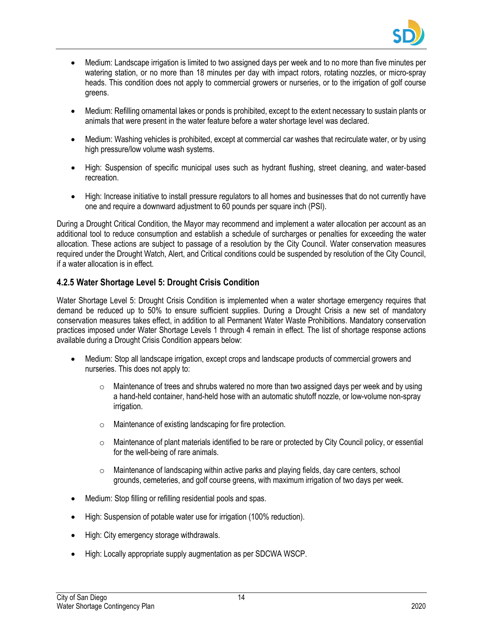

- Medium: Landscape irrigation is limited to two assigned days per week and to no more than five minutes per watering station, or no more than 18 minutes per day with impact rotors, rotating nozzles, or micro-spray heads. This condition does not apply to commercial growers or nurseries, or to the irrigation of golf course greens.
- Medium: Refilling ornamental lakes or ponds is prohibited, except to the extent necessary to sustain plants or animals that were present in the water feature before a water shortage level was declared.
- Medium: Washing vehicles is prohibited, except at commercial car washes that recirculate water, or by using high pressure/low volume wash systems.
- High: Suspension of specific municipal uses such as hydrant flushing, street cleaning, and water‐based recreation.
- High: Increase initiative to install pressure regulators to all homes and businesses that do not currently have one and require a downward adjustment to 60 pounds per square inch (PSI).

During a Drought Critical Condition, the Mayor may recommend and implement a water allocation per account as an additional tool to reduce consumption and establish a schedule of surcharges or penalties for exceeding the water allocation. These actions are subject to passage of a resolution by the City Council. Water conservation measures required under the Drought Watch, Alert, and Critical conditions could be suspended by resolution of the City Council, if a water allocation is in effect.

### **4.2.5 Water Shortage Level 5: Drought Crisis Condition**

Water Shortage Level 5: Drought Crisis Condition is implemented when a water shortage emergency requires that demand be reduced up to 50% to ensure sufficient supplies. During a Drought Crisis a new set of mandatory conservation measures takes effect, in addition to all Permanent Water Waste Prohibitions. Mandatory conservation practices imposed under Water Shortage Levels 1 through 4 remain in effect. The list of shortage response actions available during a Drought Crisis Condition appears below:

- Medium: Stop all landscape irrigation, except crops and landscape products of commercial growers and nurseries. This does not apply to:
	- $\circ$  Maintenance of trees and shrubs watered no more than two assigned days per week and by using a hand-held container, hand-held hose with an automatic shutoff nozzle, or low-volume non-spray irrigation.
	- o Maintenance of existing landscaping for fire protection.
	- o Maintenance of plant materials identified to be rare or protected by City Council policy, or essential for the well-being of rare animals.
	- $\circ$  Maintenance of landscaping within active parks and playing fields, day care centers, school grounds, cemeteries, and golf course greens, with maximum irrigation of two days per week.
- Medium: Stop filling or refilling residential pools and spas.
- High: Suspension of potable water use for irrigation (100% reduction).
- High: City emergency storage withdrawals.
- High: Locally appropriate supply augmentation as per SDCWA WSCP.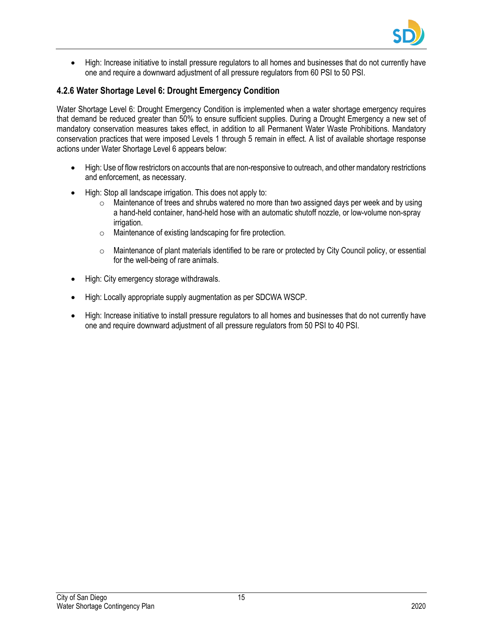

• High: Increase initiative to install pressure regulators to all homes and businesses that do not currently have one and require a downward adjustment of all pressure regulators from 60 PSI to 50 PSI.

### **4.2.6 Water Shortage Level 6: Drought Emergency Condition**

Water Shortage Level 6: Drought Emergency Condition is implemented when a water shortage emergency requires that demand be reduced greater than 50% to ensure sufficient supplies. During a Drought Emergency a new set of mandatory conservation measures takes effect, in addition to all Permanent Water Waste Prohibitions. Mandatory conservation practices that were imposed Levels 1 through 5 remain in effect. A list of available shortage response actions under Water Shortage Level 6 appears below:

- High: Use of flow restrictors on accounts that are non-responsive to outreach, and other mandatory restrictions and enforcement, as necessary.
- High: Stop all landscape irrigation. This does not apply to:
	- o Maintenance of trees and shrubs watered no more than two assigned days per week and by using a hand-held container, hand-held hose with an automatic shutoff nozzle, or low-volume non-spray irrigation.
	- o Maintenance of existing landscaping for fire protection.
	- $\circ$  Maintenance of plant materials identified to be rare or protected by City Council policy, or essential for the well-being of rare animals.
- High: City emergency storage withdrawals.
- High: Locally appropriate supply augmentation as per SDCWA WSCP.
- High: Increase initiative to install pressure regulators to all homes and businesses that do not currently have one and require downward adjustment of all pressure regulators from 50 PSI to 40 PSI.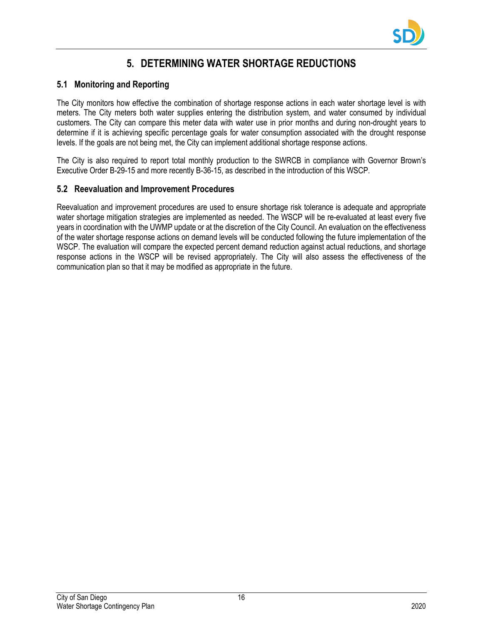

# **5. DETERMINING WATER SHORTAGE REDUCTIONS**

### **5.1 Monitoring and Reporting**

The City monitors how effective the combination of shortage response actions in each water shortage level is with meters. The City meters both water supplies entering the distribution system, and water consumed by individual customers. The City can compare this meter data with water use in prior months and during non-drought years to determine if it is achieving specific percentage goals for water consumption associated with the drought response levels. If the goals are not being met, the City can implement additional shortage response actions.

The City is also required to report total monthly production to the SWRCB in compliance with Governor Brown's Executive Order B-29-15 and more recently B-36-15, as described in the introduction of this WSCP.

#### **5.2 Reevaluation and Improvement Procedures**

Reevaluation and improvement procedures are used to ensure shortage risk tolerance is adequate and appropriate water shortage mitigation strategies are implemented as needed. The WSCP will be re-evaluated at least every five years in coordination with the UWMP update or at the discretion of the City Council. An evaluation on the effectiveness of the water shortage response actions on demand levels will be conducted following the future implementation of the WSCP. The evaluation will compare the expected percent demand reduction against actual reductions, and shortage response actions in the WSCP will be revised appropriately. The City will also assess the effectiveness of the communication plan so that it may be modified as appropriate in the future.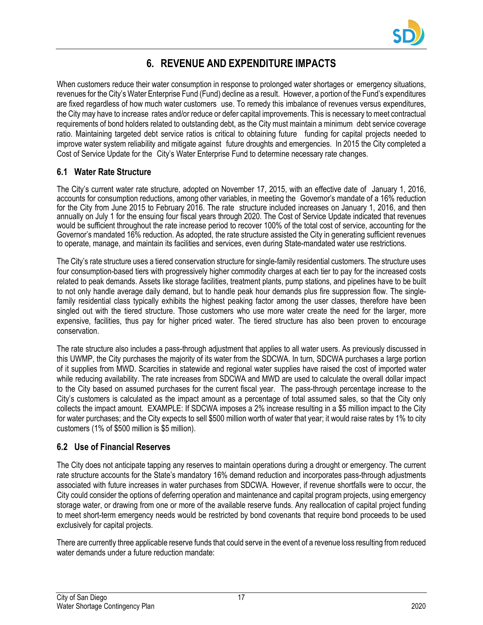

# **6. REVENUE AND EXPENDITURE IMPACTS**

When customers reduce their water consumption in response to prolonged water shortages or emergency situations, revenues for the City's Water Enterprise Fund (Fund) decline as a result. However, a portion of the Fund's expenditures are fixed regardless of how much water customers use. To remedy this imbalance of revenues versus expenditures, the City may have to increase rates and/or reduce or defer capital improvements. This is necessary to meet contractual requirements of bond holders related to outstanding debt, as the City must maintain a minimum debt service coverage ratio. Maintaining targeted debt service ratios is critical to obtaining future funding for capital projects needed to improve water system reliability and mitigate against future droughts and emergencies. In 2015 the City completed a Cost of Service Update for the City's Water Enterprise Fund to determine necessary rate changes.

### **6.1 Water Rate Structure**

The City's current water rate structure, adopted on November 17, 2015, with an effective date of January 1, 2016, accounts for consumption reductions, among other variables, in meeting the Governor's mandate of a 16% reduction for the City from June 2015 to February 2016. The rate structure included increases on January 1, 2016, and then annually on July 1 for the ensuing four fiscal years through 2020. The Cost of Service Update indicated that revenues would be sufficient throughout the rate increase period to recover 100% of the total cost of service, accounting for the Governor's mandated 16% reduction. As adopted, the rate structure assisted the City in generating sufficient revenues to operate, manage, and maintain its facilities and services, even during State-mandated water use restrictions.

The City's rate structure uses a tiered conservation structure for single-family residential customers. The structure uses four consumption-based tiers with progressively higher commodity charges at each tier to pay for the increased costs related to peak demands. Assets like storage facilities, treatment plants, pump stations, and pipelines have to be built to not only handle average daily demand, but to handle peak hour demands plus fire suppression flow. The singlefamily residential class typically exhibits the highest peaking factor among the user classes, therefore have been singled out with the tiered structure. Those customers who use more water create the need for the larger, more expensive, facilities, thus pay for higher priced water. The tiered structure has also been proven to encourage conservation.

The rate structure also includes a pass-through adjustment that applies to all water users. As previously discussed in this UWMP, the City purchases the majority of its water from the SDCWA. In turn, SDCWA purchases a large portion of it supplies from MWD. Scarcities in statewide and regional water supplies have raised the cost of imported water while reducing availability. The rate increases from SDCWA and MWD are used to calculate the overall dollar impact to the City based on assumed purchases for the current fiscal year. The pass-through percentage increase to the City's customers is calculated as the impact amount as a percentage of total assumed sales, so that the City only collects the impact amount. EXAMPLE: If SDCWA imposes a 2% increase resulting in a \$5 million impact to the City for water purchases; and the City expects to sell \$500 million worth of water that year; it would raise rates by 1% to city customers (1% of \$500 million is \$5 million).

### **6.2 Use of Financial Reserves**

The City does not anticipate tapping any reserves to maintain operations during a drought or emergency. The current rate structure accounts for the State's mandatory 16% demand reduction and incorporates pass-through adjustments associated with future increases in water purchases from SDCWA. However, if revenue shortfalls were to occur, the City could consider the options of deferring operation and maintenance and capital program projects, using emergency storage water, or drawing from one or more of the available reserve funds. Any reallocation of capital project funding to meet short-term emergency needs would be restricted by bond covenants that require bond proceeds to be used exclusively for capital projects.

There are currently three applicable reserve funds that could serve in the event of a revenue loss resulting from reduced water demands under a future reduction mandate: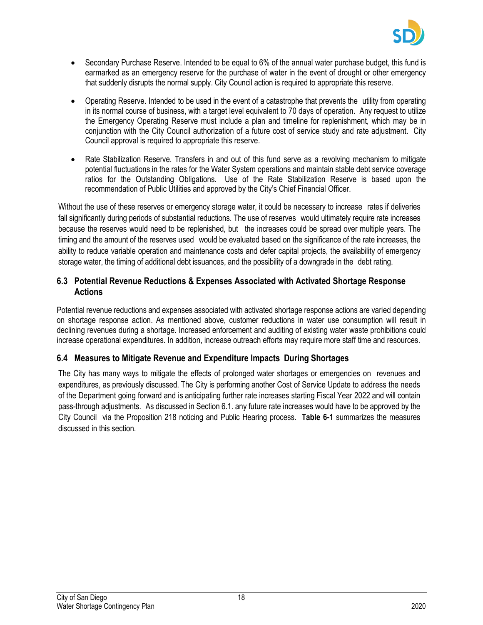

- Secondary Purchase Reserve. Intended to be equal to 6% of the annual water purchase budget, this fund is earmarked as an emergency reserve for the purchase of water in the event of drought or other emergency that suddenly disrupts the normal supply. City Council action is required to appropriate this reserve.
- Operating Reserve. Intended to be used in the event of a catastrophe that prevents the utility from operating in its normal course of business, with a target level equivalent to 70 days of operation. Any request to utilize the Emergency Operating Reserve must include a plan and timeline for replenishment, which may be in conjunction with the City Council authorization of a future cost of service study and rate adjustment. City Council approval is required to appropriate this reserve.
- Rate Stabilization Reserve. Transfers in and out of this fund serve as a revolving mechanism to mitigate potential fluctuations in the rates for the Water System operations and maintain stable debt service coverage ratios for the Outstanding Obligations. Use of the Rate Stabilization Reserve is based upon the recommendation of Public Utilities and approved by the City's Chief Financial Officer.

Without the use of these reserves or emergency storage water, it could be necessary to increase rates if deliveries fall significantly during periods of substantial reductions. The use of reserves would ultimately require rate increases because the reserves would need to be replenished, but the increases could be spread over multiple years. The timing and the amount of the reserves used would be evaluated based on the significance of the rate increases, the ability to reduce variable operation and maintenance costs and defer capital projects, the availability of emergency storage water, the timing of additional debt issuances, and the possibility of a downgrade in the debt rating.

### **6.3 Potential Revenue Reductions & Expenses Associated with Activated Shortage Response Actions**

Potential revenue reductions and expenses associated with activated shortage response actions are varied depending on shortage response action. As mentioned above, customer reductions in water use consumption will result in declining revenues during a shortage. Increased enforcement and auditing of existing water waste prohibitions could increase operational expenditures. In addition, increase outreach efforts may require more staff time and resources.

# **6.4 Measures to Mitigate Revenue and Expenditure Impacts During Shortages**

The City has many ways to mitigate the effects of prolonged water shortages or emergencies on revenues and expenditures, as previously discussed. The City is performing another Cost of Service Update to address the needs of the Department going forward and is anticipating further rate increases starting Fiscal Year 2022 and will contain pass-through adjustments. As discussed in Section 6.1. any future rate increases would have to be approved by the City Council via the Proposition 218 noticing and Public Hearing process. **Table 6-1** summarizes the measures discussed in this section.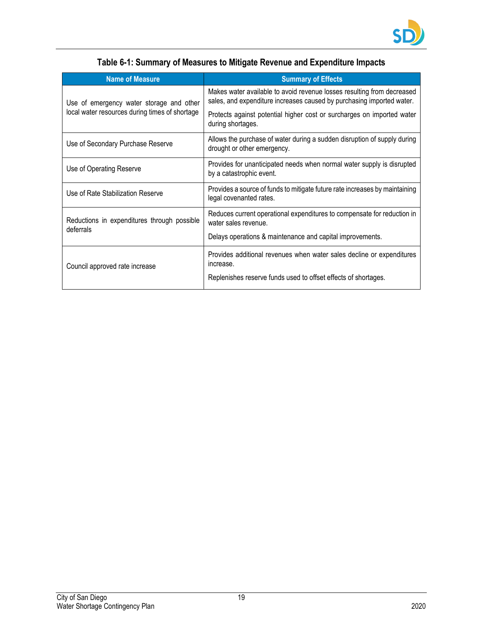

<span id="page-21-0"></span>

| <b>Name of Measure</b>                                   | <b>Summary of Effects</b>                                                                                                                       |
|----------------------------------------------------------|-------------------------------------------------------------------------------------------------------------------------------------------------|
| Use of emergency water storage and other                 | Makes water available to avoid revenue losses resulting from decreased<br>sales, and expenditure increases caused by purchasing imported water. |
| local water resources during times of shortage           | Protects against potential higher cost or surcharges on imported water<br>during shortages.                                                     |
| Use of Secondary Purchase Reserve                        | Allows the purchase of water during a sudden disruption of supply during<br>drought or other emergency.                                         |
| Use of Operating Reserve                                 | Provides for unanticipated needs when normal water supply is disrupted<br>by a catastrophic event.                                              |
| Use of Rate Stabilization Reserve                        | Provides a source of funds to mitigate future rate increases by maintaining<br>legal covenanted rates.                                          |
| Reductions in expenditures through possible<br>deferrals | Reduces current operational expenditures to compensate for reduction in<br>water sales revenue.                                                 |
|                                                          | Delays operations & maintenance and capital improvements.                                                                                       |
| Council approved rate increase                           | Provides additional revenues when water sales decline or expenditures<br>increase.                                                              |
|                                                          | Replenishes reserve funds used to offset effects of shortages.                                                                                  |

# **Table 6-1: Summary of Measures to Mitigate Revenue and Expenditure Impacts**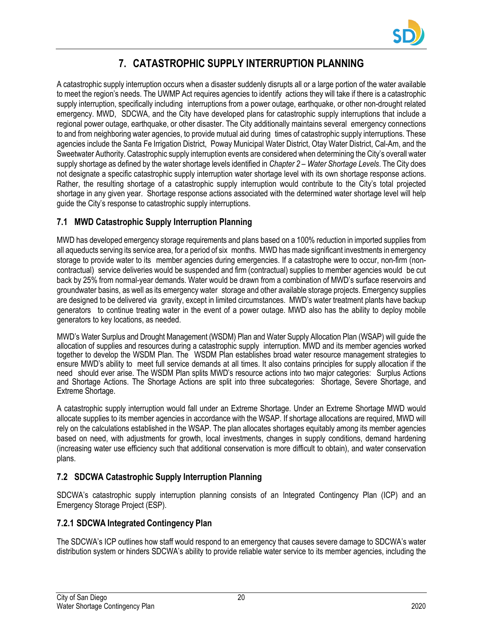

# **7. CATASTROPHIC SUPPLY INTERRUPTION PLANNING**

A catastrophic supply interruption occurs when a disaster suddenly disrupts all or a large portion of the water available to meet the region's needs. The UWMP Act requires agencies to identify actions they will take if there is a catastrophic supply interruption, specifically including interruptions from a power outage, earthquake, or other non-drought related emergency. MWD, SDCWA, and the City have developed plans for catastrophic supply interruptions that include a regional power outage, earthquake, or other disaster. The City additionally maintains several emergency connections to and from neighboring water agencies, to provide mutual aid during times of catastrophic supply interruptions. These agencies include the Santa Fe Irrigation District, Poway Municipal Water District, Otay Water District, Cal-Am, and the Sweetwater Authority. Catastrophic supply interruption events are considered when determining the City's overall water supply shortage as defined by the water shortage levels identified in *Chapter 2 – Water Shortage Levels*. The City does not designate a specific catastrophic supply interruption water shortage level with its own shortage response actions. Rather, the resulting shortage of a catastrophic supply interruption would contribute to the City's total projected shortage in any given year. Shortage response actions associated with the determined water shortage level will help guide the City's response to catastrophic supply interruptions.

# **7.1 MWD Catastrophic Supply Interruption Planning**

MWD has developed emergency storage requirements and plans based on a 100% reduction in imported supplies from all aqueducts serving its service area, for a period of six months. MWD has made significant investments in emergency storage to provide water to its member agencies during emergencies. If a catastrophe were to occur, non-firm (noncontractual) service deliveries would be suspended and firm (contractual) supplies to member agencies would be cut back by 25% from normal-year demands. Water would be drawn from a combination of MWD's surface reservoirs and groundwater basins, as well as its emergency water storage and other available storage projects. Emergency supplies are designed to be delivered via gravity, except in limited circumstances. MWD's water treatment plants have backup generators to continue treating water in the event of a power outage. MWD also has the ability to deploy mobile generators to key locations, as needed.

MWD's Water Surplus and Drought Management (WSDM) Plan and Water Supply Allocation Plan (WSAP) will guide the allocation of supplies and resources during a catastrophic supply interruption. MWD and its member agencies worked together to develop the WSDM Plan. The WSDM Plan establishes broad water resource management strategies to ensure MWD's ability to meet full service demands at all times. It also contains principles for supply allocation if the need should ever arise. The WSDM Plan splits MWD's resource actions into two major categories: Surplus Actions and Shortage Actions. The Shortage Actions are split into three subcategories: Shortage, Severe Shortage, and Extreme Shortage.

A catastrophic supply interruption would fall under an Extreme Shortage. Under an Extreme Shortage MWD would allocate supplies to its member agencies in accordance with the WSAP. If shortage allocations are required, MWD will rely on the calculations established in the WSAP. The plan allocates shortages equitably among its member agencies based on need, with adjustments for growth, local investments, changes in supply conditions, demand hardening (increasing water use efficiency such that additional conservation is more difficult to obtain), and water conservation plans.

# **7.2 SDCWA Catastrophic Supply Interruption Planning**

SDCWA's catastrophic supply interruption planning consists of an Integrated Contingency Plan (ICP) and an Emergency Storage Project (ESP).

# **7.2.1 SDCWA Integrated Contingency Plan**

The SDCWA's ICP outlines how staff would respond to an emergency that causes severe damage to SDCWA's water distribution system or hinders SDCWA's ability to provide reliable water service to its member agencies, including the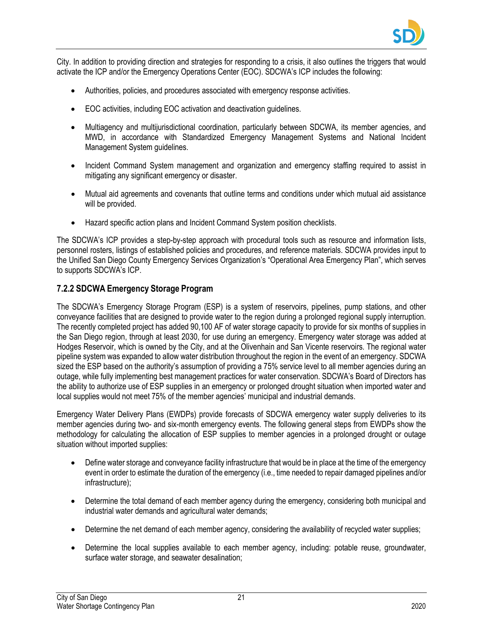

City. In addition to providing direction and strategies for responding to a crisis, it also outlines the triggers that would activate the ICP and/or the Emergency Operations Center (EOC). SDCWA's ICP includes the following:

- Authorities, policies, and procedures associated with emergency response activities.
- EOC activities, including EOC activation and deactivation guidelines.
- Multiagency and multijurisdictional coordination, particularly between SDCWA, its member agencies, and MWD, in accordance with Standardized Emergency Management Systems and National Incident Management System guidelines.
- Incident Command System management and organization and emergency staffing required to assist in mitigating any significant emergency or disaster.
- Mutual aid agreements and covenants that outline terms and conditions under which mutual aid assistance will be provided.
- Hazard specific action plans and Incident Command System position checklists.

The SDCWA's ICP provides a step-by-step approach with procedural tools such as resource and information lists, personnel rosters, listings of established policies and procedures, and reference materials. SDCWA provides input to the Unified San Diego County Emergency Services Organization's "Operational Area Emergency Plan", which serves to supports SDCWA's ICP.

#### **7.2.2 SDCWA Emergency Storage Program**

The SDCWA's Emergency Storage Program (ESP) is a system of reservoirs, pipelines, pump stations, and other conveyance facilities that are designed to provide water to the region during a prolonged regional supply interruption. The recently completed project has added 90,100 AF of water storage capacity to provide for six months of supplies in the San Diego region, through at least 2030, for use during an emergency. Emergency water storage was added at Hodges Reservoir, which is owned by the City, and at the Olivenhain and San Vicente reservoirs. The regional water pipeline system was expanded to allow water distribution throughout the region in the event of an emergency. SDCWA sized the ESP based on the authority's assumption of providing a 75% service level to all member agencies during an outage, while fully implementing best management practices for water conservation. SDCWA's Board of Directors has the ability to authorize use of ESP supplies in an emergency or prolonged drought situation when imported water and local supplies would not meet 75% of the member agencies' municipal and industrial demands.

Emergency Water Delivery Plans (EWDPs) provide forecasts of SDCWA emergency water supply deliveries to its member agencies during two- and six-month emergency events. The following general steps from EWDPs show the methodology for calculating the allocation of ESP supplies to member agencies in a prolonged drought or outage situation without imported supplies:

- Define water storage and conveyance facility infrastructure that would be in place at the time of the emergency event in order to estimate the duration of the emergency (i.e., time needed to repair damaged pipelines and/or infrastructure);
- Determine the total demand of each member agency during the emergency, considering both municipal and industrial water demands and agricultural water demands;
- Determine the net demand of each member agency, considering the availability of recycled water supplies;
- Determine the local supplies available to each member agency, including: potable reuse, groundwater, surface water storage, and seawater desalination;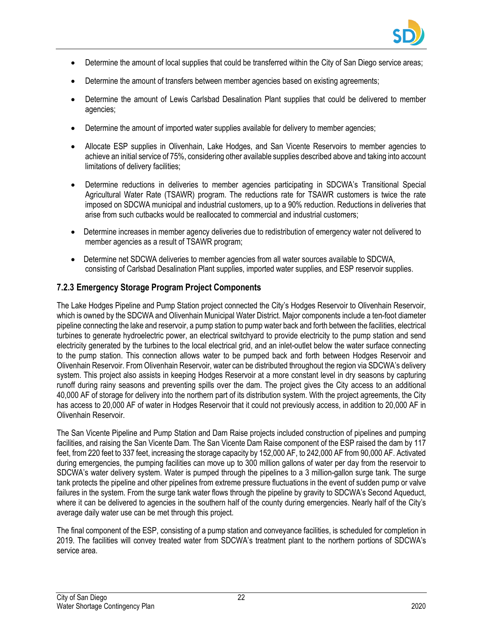

- Determine the amount of local supplies that could be transferred within the City of San Diego service areas;
- Determine the amount of transfers between member agencies based on existing agreements;
- Determine the amount of Lewis Carlsbad Desalination Plant supplies that could be delivered to member agencies;
- Determine the amount of imported water supplies available for delivery to member agencies;
- Allocate ESP supplies in Olivenhain, Lake Hodges, and San Vicente Reservoirs to member agencies to achieve an initial service of 75%, considering other available supplies described above and taking into account limitations of delivery facilities;
- Determine reductions in deliveries to member agencies participating in SDCWA's Transitional Special Agricultural Water Rate (TSAWR) program. The reductions rate for TSAWR customers is twice the rate imposed on SDCWA municipal and industrial customers, up to a 90% reduction. Reductions in deliveries that arise from such cutbacks would be reallocated to commercial and industrial customers;
- Determine increases in member agency deliveries due to redistribution of emergency water not delivered to member agencies as a result of TSAWR program;
- Determine net SDCWA deliveries to member agencies from all water sources available to SDCWA, consisting of Carlsbad Desalination Plant supplies, imported water supplies, and ESP reservoir supplies.

#### **7.2.3 Emergency Storage Program Project Components**

The Lake Hodges Pipeline and Pump Station project connected the City's Hodges Reservoir to Olivenhain Reservoir, which is owned by the SDCWA and Olivenhain Municipal Water District. Major components include a ten-foot diameter pipeline connecting the lake and reservoir, a pump station to pump water back and forth between the facilities, electrical turbines to generate hydroelectric power, an electrical switchyard to provide electricity to the pump station and send electricity generated by the turbines to the local electrical grid, and an inlet-outlet below the water surface connecting to the pump station. This connection allows water to be pumped back and forth between Hodges Reservoir and Olivenhain Reservoir. From Olivenhain Reservoir, water can be distributed throughout the region via SDCWA's delivery system. This project also assists in keeping Hodges Reservoir at a more constant level in dry seasons by capturing runoff during rainy seasons and preventing spills over the dam. The project gives the City access to an additional 40,000 AF of storage for delivery into the northern part of its distribution system. With the project agreements, the City has access to 20,000 AF of water in Hodges Reservoir that it could not previously access, in addition to 20,000 AF in Olivenhain Reservoir.

The San Vicente Pipeline and Pump Station and Dam Raise projects included construction of pipelines and pumping facilities, and raising the San Vicente Dam. The San Vicente Dam Raise component of the ESP raised the dam by 117 feet, from 220 feet to 337 feet, increasing the storage capacity by 152,000 AF, to 242,000 AF from 90,000 AF. Activated during emergencies, the pumping facilities can move up to 300 million gallons of water per day from the reservoir to SDCWA's water delivery system. Water is pumped through the pipelines to a 3 million-gallon surge tank. The surge tank protects the pipeline and other pipelines from extreme pressure fluctuations in the event of sudden pump or valve failures in the system. From the surge tank water flows through the pipeline by gravity to SDCWA's Second Aqueduct, where it can be delivered to agencies in the southern half of the county during emergencies. Nearly half of the City's average daily water use can be met through this project.

The final component of the ESP, consisting of a pump station and conveyance facilities, is scheduled for completion in 2019. The facilities will convey treated water from SDCWA's treatment plant to the northern portions of SDCWA's service area.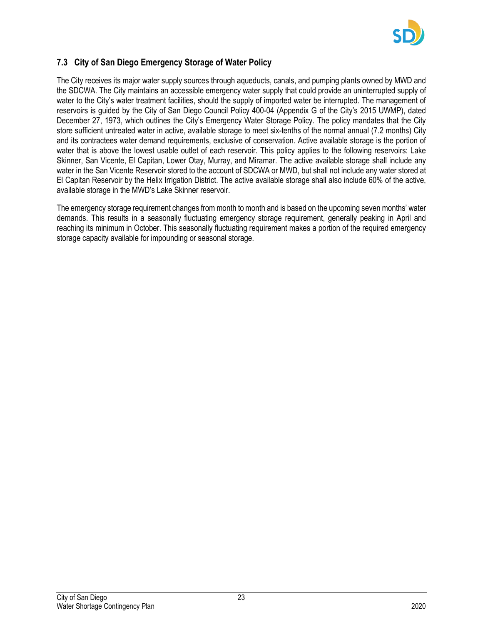

### **7.3 City of San Diego Emergency Storage of Water Policy**

The City receives its major water supply sources through aqueducts, canals, and pumping plants owned by MWD and the SDCWA. The City maintains an accessible emergency water supply that could provide an uninterrupted supply of water to the City's water treatment facilities, should the supply of imported water be interrupted. The management of reservoirs is guided by the City of San Diego Council Policy 400-04 (Appendix G of the City's 2015 UWMP), dated December 27, 1973, which outlines the City's Emergency Water Storage Policy. The policy mandates that the City store sufficient untreated water in active, available storage to meet six-tenths of the normal annual (7.2 months) City and its contractees water demand requirements, exclusive of conservation. Active available storage is the portion of water that is above the lowest usable outlet of each reservoir. This policy applies to the following reservoirs: Lake Skinner, San Vicente, El Capitan, Lower Otay, Murray, and Miramar. The active available storage shall include any water in the San Vicente Reservoir stored to the account of SDCWA or MWD, but shall not include any water stored at El Capitan Reservoir by the Helix Irrigation District. The active available storage shall also include 60% of the active, available storage in the MWD's Lake Skinner reservoir.

The emergency storage requirement changes from month to month and is based on the upcoming seven months' water demands. This results in a seasonally fluctuating emergency storage requirement, generally peaking in April and reaching its minimum in October. This seasonally fluctuating requirement makes a portion of the required emergency storage capacity available for impounding or seasonal storage.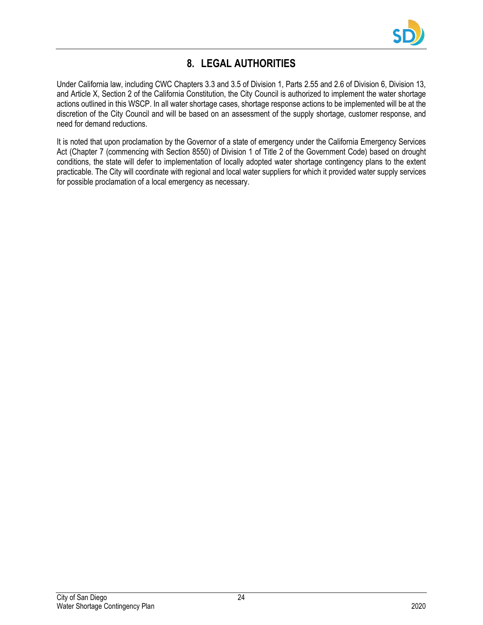

# **8. LEGAL AUTHORITIES**

Under California law, including CWC Chapters 3.3 and 3.5 of Division 1, Parts 2.55 and 2.6 of Division 6, Division 13, and Article X, Section 2 of the California Constitution, the City Council is authorized to implement the water shortage actions outlined in this WSCP. In all water shortage cases, shortage response actions to be implemented will be at the discretion of the City Council and will be based on an assessment of the supply shortage, customer response, and need for demand reductions.

It is noted that upon proclamation by the Governor of a state of emergency under the California Emergency Services Act (Chapter 7 (commencing with Section 8550) of Division 1 of Title 2 of the Government Code) based on drought conditions, the state will defer to implementation of locally adopted water shortage contingency plans to the extent practicable. The City will coordinate with regional and local water suppliers for which it provided water supply services for possible proclamation of a local emergency as necessary.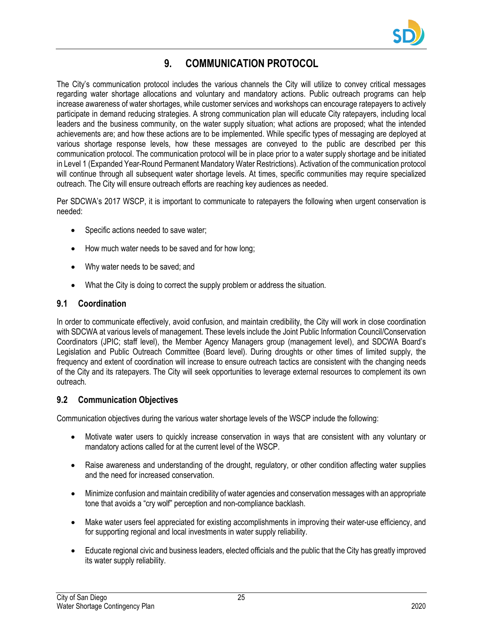

# **9. COMMUNICATION PROTOCOL**

The City's communication protocol includes the various channels the City will utilize to convey critical messages regarding water shortage allocations and voluntary and mandatory actions. Public outreach programs can help increase awareness of water shortages, while customer services and workshops can encourage ratepayers to actively participate in demand reducing strategies. A strong communication plan will educate City ratepayers, including local leaders and the business community, on the water supply situation; what actions are proposed; what the intended achievements are; and how these actions are to be implemented. While specific types of messaging are deployed at various shortage response levels, how these messages are conveyed to the public are described per this communication protocol. The communication protocol will be in place prior to a water supply shortage and be initiated in Level 1 (Expanded Year-Round Permanent Mandatory Water Restrictions). Activation of the communication protocol will continue through all subsequent water shortage levels. At times, specific communities may require specialized outreach. The City will ensure outreach efforts are reaching key audiences as needed.

Per SDCWA's 2017 WSCP, it is important to communicate to ratepayers the following when urgent conservation is needed:

- Specific actions needed to save water;
- How much water needs to be saved and for how long;
- Why water needs to be saved; and
- What the City is doing to correct the supply problem or address the situation.

#### **9.1 Coordination**

In order to communicate effectively, avoid confusion, and maintain credibility, the City will work in close coordination with SDCWA at various levels of management. These levels include the Joint Public Information Council/Conservation Coordinators (JPIC; staff level), the Member Agency Managers group (management level), and SDCWA Board's Legislation and Public Outreach Committee (Board level). During droughts or other times of limited supply, the frequency and extent of coordination will increase to ensure outreach tactics are consistent with the changing needs of the City and its ratepayers. The City will seek opportunities to leverage external resources to complement its own outreach.

### **9.2 Communication Objectives**

Communication objectives during the various water shortage levels of the WSCP include the following:

- Motivate water users to quickly increase conservation in ways that are consistent with any voluntary or mandatory actions called for at the current level of the WSCP.
- Raise awareness and understanding of the drought, regulatory, or other condition affecting water supplies and the need for increased conservation.
- Minimize confusion and maintain credibility of water agencies and conservation messages with an appropriate tone that avoids a "cry wolf" perception and non-compliance backlash.
- Make water users feel appreciated for existing accomplishments in improving their water-use efficiency, and for supporting regional and local investments in water supply reliability.
- Educate regional civic and business leaders, elected officials and the public that the City has greatly improved its water supply reliability.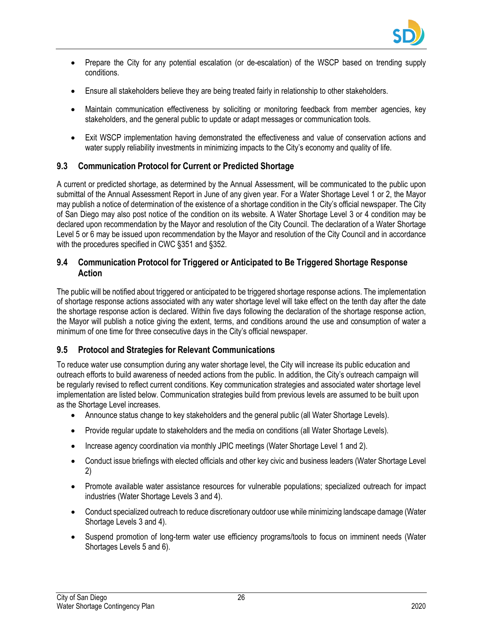

- Prepare the City for any potential escalation (or de-escalation) of the WSCP based on trending supply conditions.
- Ensure all stakeholders believe they are being treated fairly in relationship to other stakeholders.
- Maintain communication effectiveness by soliciting or monitoring feedback from member agencies, key stakeholders, and the general public to update or adapt messages or communication tools.
- Exit WSCP implementation having demonstrated the effectiveness and value of conservation actions and water supply reliability investments in minimizing impacts to the City's economy and quality of life.

### **9.3 Communication Protocol for Current or Predicted Shortage**

A current or predicted shortage, as determined by the Annual Assessment, will be communicated to the public upon submittal of the Annual Assessment Report in June of any given year. For a Water Shortage Level 1 or 2, the Mayor may publish a notice of determination of the existence of a shortage condition in the City's official newspaper. The City of San Diego may also post notice of the condition on its website. A Water Shortage Level 3 or 4 condition may be declared upon recommendation by the Mayor and resolution of the City Council. The declaration of a Water Shortage Level 5 or 6 may be issued upon recommendation by the Mayor and resolution of the City Council and in accordance with the procedures specified in CWC §351 and §352.

### **9.4 Communication Protocol for Triggered or Anticipated to Be Triggered Shortage Response Action**

The public will be notified about triggered or anticipated to be triggered shortage response actions. The implementation of shortage response actions associated with any water shortage level will take effect on the tenth day after the date the shortage response action is declared. Within five days following the declaration of the shortage response action, the Mayor will publish a notice giving the extent, terms, and conditions around the use and consumption of water a minimum of one time for three consecutive days in the City's official newspaper.

### **9.5 Protocol and Strategies for Relevant Communications**

To reduce water use consumption during any water shortage level, the City will increase its public education and outreach efforts to build awareness of needed actions from the public. In addition, the City's outreach campaign will be regularly revised to reflect current conditions. Key communication strategies and associated water shortage level implementation are listed below. Communication strategies build from previous levels are assumed to be built upon as the Shortage Level increases.

- Announce status change to key stakeholders and the general public (all Water Shortage Levels).
- Provide regular update to stakeholders and the media on conditions (all Water Shortage Levels).
- Increase agency coordination via monthly JPIC meetings (Water Shortage Level 1 and 2).
- Conduct issue briefings with elected officials and other key civic and business leaders (Water Shortage Level 2)
- Promote available water assistance resources for vulnerable populations; specialized outreach for impact industries (Water Shortage Levels 3 and 4).
- Conduct specialized outreach to reduce discretionary outdoor use while minimizing landscape damage (Water Shortage Levels 3 and 4).
- Suspend promotion of long-term water use efficiency programs/tools to focus on imminent needs (Water Shortages Levels 5 and 6).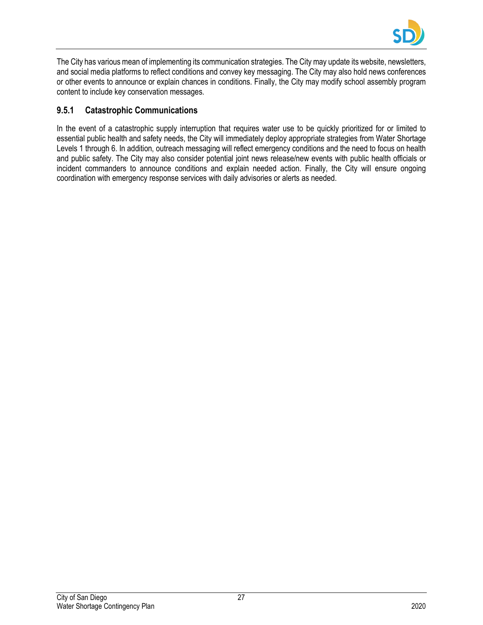

The City has various mean of implementing its communication strategies. The City may update its website, newsletters, and social media platforms to reflect conditions and convey key messaging. The City may also hold news conferences or other events to announce or explain chances in conditions. Finally, the City may modify school assembly program content to include key conservation messages.

### **9.5.1 Catastrophic Communications**

In the event of a catastrophic supply interruption that requires water use to be quickly prioritized for or limited to essential public health and safety needs, the City will immediately deploy appropriate strategies from Water Shortage Levels 1 through 6. In addition, outreach messaging will reflect emergency conditions and the need to focus on health and public safety. The City may also consider potential joint news release/new events with public health officials or incident commanders to announce conditions and explain needed action. Finally, the City will ensure ongoing coordination with emergency response services with daily advisories or alerts as needed.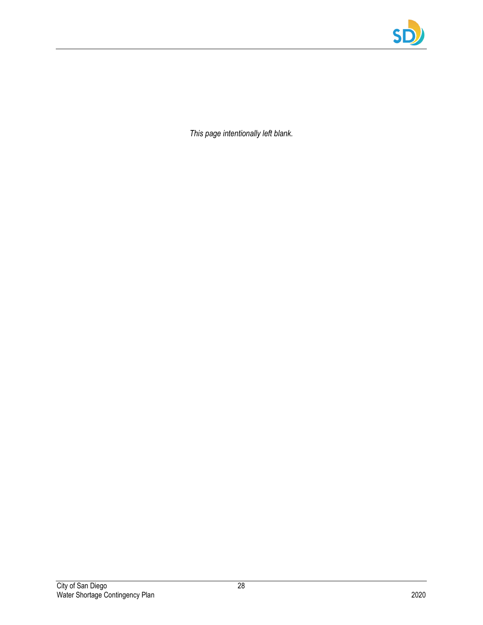

*This page intentionally left blank.*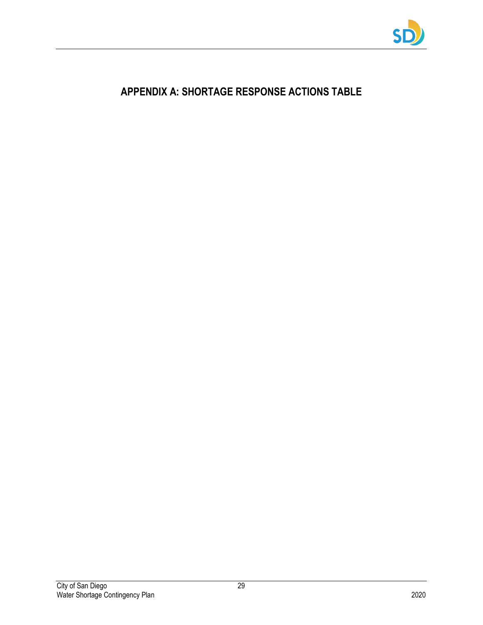

# **APPENDIX A: SHORTAGE RESPONSE ACTIONS TABLE**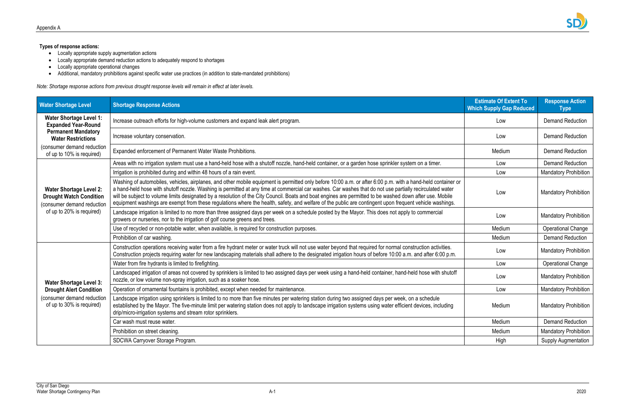

**Types of response actions:**

- Locally appropriate supply augmentation actions
- Locally appropriate demand reduction actions to adequately respond to shortages
- Locally appropriate operational changes
- Additional, mandatory prohibitions against specific water use practices (in addition to state-mandated prohibitions)

*Note: Shortage response actions from previous drought response levels will remain in effect at later levels.*

| <b>Water Shortage Level</b>                                                                    | <b>Shortage Response Actions</b>                                                                                                                                                                                                                                                                                                                                                                                                                                                                                                                                                                                                                 | <b>Estimate Of Extent To</b><br><b>Which Supply Gap Reduced</b> | <b>Response Action</b><br><b>Type</b> |
|------------------------------------------------------------------------------------------------|--------------------------------------------------------------------------------------------------------------------------------------------------------------------------------------------------------------------------------------------------------------------------------------------------------------------------------------------------------------------------------------------------------------------------------------------------------------------------------------------------------------------------------------------------------------------------------------------------------------------------------------------------|-----------------------------------------------------------------|---------------------------------------|
| <b>Water Shortage Level 1:</b><br><b>Expanded Year-Round</b>                                   | Increase outreach efforts for high-volume customers and expand leak alert program.                                                                                                                                                                                                                                                                                                                                                                                                                                                                                                                                                               | Low                                                             | <b>Demand Reduction</b>               |
| <b>Permanent Mandatory</b><br><b>Water Restrictions</b>                                        | Increase voluntary conservation.                                                                                                                                                                                                                                                                                                                                                                                                                                                                                                                                                                                                                 | Low                                                             | <b>Demand Reduction</b>               |
| (consumer demand reduction<br>of up to 10% is required)                                        | Expanded enforcement of Permanent Water Waste Prohibitions.                                                                                                                                                                                                                                                                                                                                                                                                                                                                                                                                                                                      | Medium                                                          | <b>Demand Reduction</b>               |
|                                                                                                | Areas with no irrigation system must use a hand-held hose with a shutoff nozzle, hand-held container, or a garden hose sprinkler system on a timer.                                                                                                                                                                                                                                                                                                                                                                                                                                                                                              | Low                                                             | <b>Demand Reduction</b>               |
|                                                                                                | Irrigation is prohibited during and within 48 hours of a rain event.                                                                                                                                                                                                                                                                                                                                                                                                                                                                                                                                                                             | Low                                                             | <b>Mandatory Prohibition</b>          |
| <b>Water Shortage Level 2:</b><br><b>Drought Watch Condition</b><br>(consumer demand reduction | Washing of automobiles, vehicles, airplanes, and other mobile equipment is permitted only before 10:00 a.m. or after 6:00 p.m. with a hand-held container or<br>a hand-held hose with shutoff nozzle. Washing is permitted at any time at commercial car washes. Car washes that do not use partially recirculated water<br>will be subject to volume limits designated by a resolution of the City Council. Boats and boat engines are permitted to be washed down after use. Mobile<br>equipment washings are exempt from these regulations where the health, safety, and welfare of the public are contingent upon frequent vehicle washings. | Low                                                             | <b>Mandatory Prohibition</b>          |
| of up to 20% is required)                                                                      | Landscape irrigation is limited to no more than three assigned days per week on a schedule posted by the Mayor. This does not apply to commercial<br>growers or nurseries, nor to the irrigation of golf course greens and trees.                                                                                                                                                                                                                                                                                                                                                                                                                | Low                                                             | <b>Mandatory Prohibition</b>          |
|                                                                                                | Use of recycled or non-potable water, when available, is required for construction purposes.                                                                                                                                                                                                                                                                                                                                                                                                                                                                                                                                                     | Medium                                                          | <b>Operational Change</b>             |
|                                                                                                | Prohibition of car washing.                                                                                                                                                                                                                                                                                                                                                                                                                                                                                                                                                                                                                      | Medium                                                          | <b>Demand Reduction</b>               |
|                                                                                                | Construction operations receiving water from a fire hydrant meter or water truck will not use water beyond that required for normal construction activities.<br>Construction projects requiring water for new landscaping materials shall adhere to the designated irrigation hours of before 10:00 a.m. and after 6:00 p.m.                                                                                                                                                                                                                                                                                                                     | Low                                                             | <b>Mandatory Prohibition</b>          |
|                                                                                                | Water from fire hydrants is limited to firefighting.                                                                                                                                                                                                                                                                                                                                                                                                                                                                                                                                                                                             | Low                                                             | <b>Operational Change</b>             |
| <b>Water Shortage Level 3:</b>                                                                 | Landscaped irrigation of areas not covered by sprinklers is limited to two assigned days per week using a hand-held container, hand-held hose with shutoff<br>nozzle, or low volume non-spray irrigation, such as a soaker hose.                                                                                                                                                                                                                                                                                                                                                                                                                 | Low                                                             | <b>Mandatory Prohibition</b>          |
| <b>Drought Alert Condition</b>                                                                 | Operation of ornamental fountains is prohibited, except when needed for maintenance.                                                                                                                                                                                                                                                                                                                                                                                                                                                                                                                                                             | Low                                                             | <b>Mandatory Prohibition</b>          |
| consumer demand reduction<br>of up to 30% is required)                                         | Landscape irrigation using sprinklers is limited to no more than five minutes per watering station during two assigned days per week, on a schedule<br>established by the Mayor. The five-minute limit per watering station does not apply to landscape irrigation systems using water efficient devices, including<br>drip/micro-irrigation systems and stream rotor sprinklers.                                                                                                                                                                                                                                                                | Medium                                                          | <b>Mandatory Prohibition</b>          |
|                                                                                                | Car wash must reuse water.                                                                                                                                                                                                                                                                                                                                                                                                                                                                                                                                                                                                                       | Medium                                                          | <b>Demand Reduction</b>               |
|                                                                                                | Prohibition on street cleaning.                                                                                                                                                                                                                                                                                                                                                                                                                                                                                                                                                                                                                  | Medium                                                          | <b>Mandatory Prohibition</b>          |
|                                                                                                | SDCWA Carryover Storage Program.                                                                                                                                                                                                                                                                                                                                                                                                                                                                                                                                                                                                                 | High                                                            | <b>Supply Augmentation</b>            |